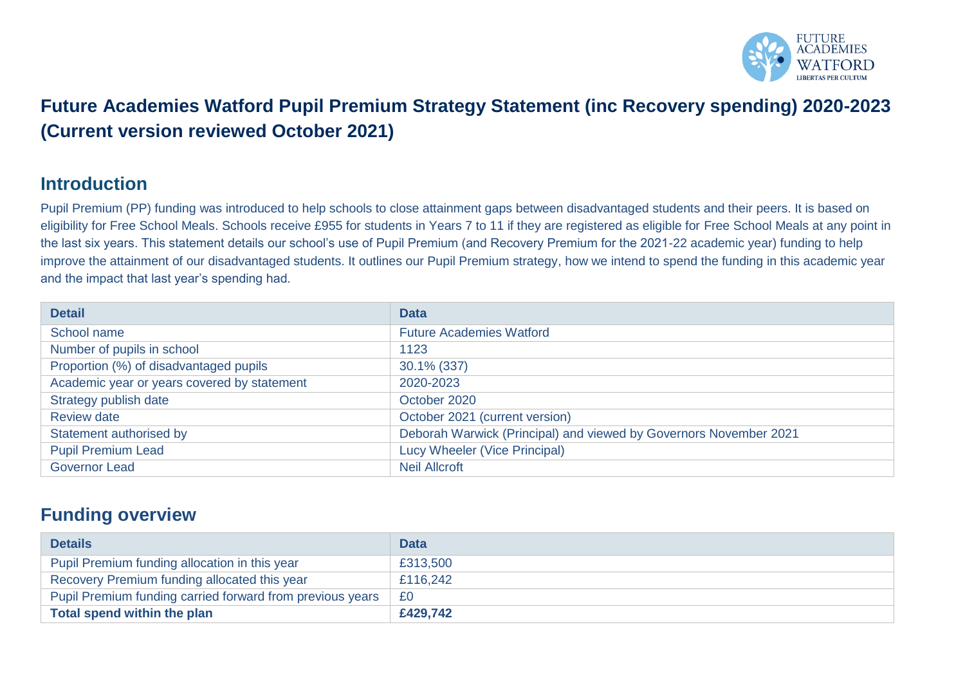

# **Future Academies Watford Pupil Premium Strategy Statement (inc Recovery spending) 2020-2023 (Current version reviewed October 2021)**

#### **Introduction**

Pupil Premium (PP) funding was introduced to help schools to close attainment gaps between disadvantaged students and their peers. It is based on eligibility for Free School Meals. Schools receive £955 for students in Years 7 to 11 if they are registered as eligible for Free School Meals at any point in the last six years. This statement details our school's use of Pupil Premium (and Recovery Premium for the 2021-22 academic year) funding to help improve the attainment of our disadvantaged students. It outlines our Pupil Premium strategy, how we intend to spend the funding in this academic year and the impact that last year's spending had.

| <b>Detail</b>                               | <b>Data</b>                                                       |
|---------------------------------------------|-------------------------------------------------------------------|
| School name                                 | <b>Future Academies Watford</b>                                   |
| Number of pupils in school                  | 1123                                                              |
| Proportion (%) of disadvantaged pupils      | 30.1% (337)                                                       |
| Academic year or years covered by statement | 2020-2023                                                         |
| Strategy publish date                       | October 2020                                                      |
| <b>Review date</b>                          | October 2021 (current version)                                    |
| Statement authorised by                     | Deborah Warwick (Principal) and viewed by Governors November 2021 |
| <b>Pupil Premium Lead</b>                   | Lucy Wheeler (Vice Principal)                                     |
| <b>Governor Lead</b>                        | <b>Neil Allcroft</b>                                              |

### **Funding overview**

| <b>Details</b>                                            | <b>Data</b> |
|-----------------------------------------------------------|-------------|
| Pupil Premium funding allocation in this year             | £313,500    |
| Recovery Premium funding allocated this year              | £116,242    |
| Pupil Premium funding carried forward from previous years | £0          |
| Total spend within the plan                               | £429,742    |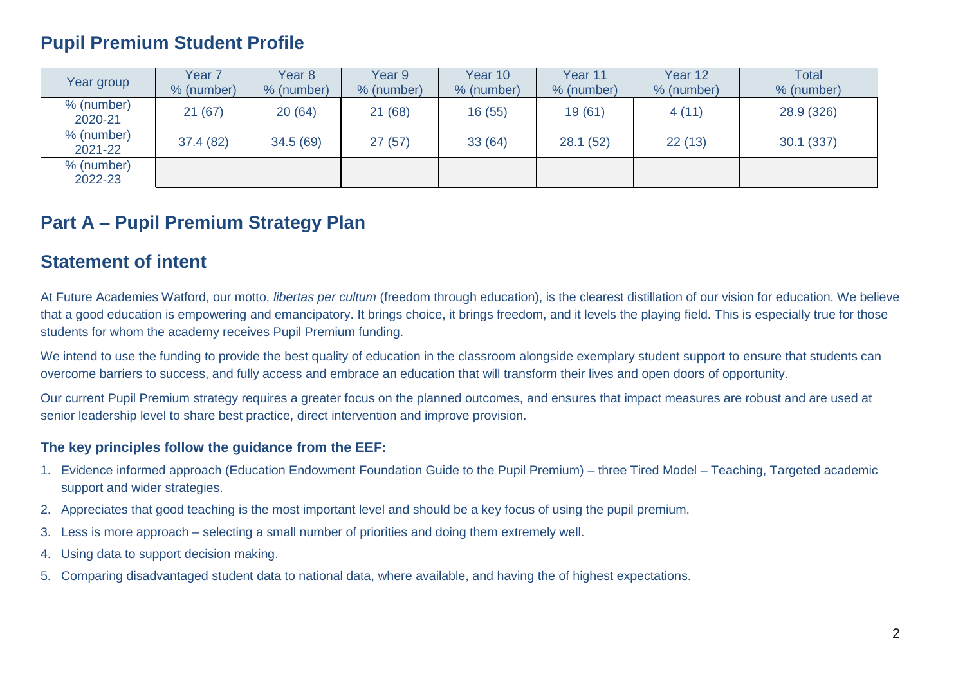### **Pupil Premium Student Profile**

| Year group            | Year <sub>7</sub><br>% (number) | Year 8<br>% (number) | Year 9<br>% (number) | Year 10<br>% (number) | Year 11<br>% (number) | Year 12<br>% (number) | <b>Total</b><br>% (number) |
|-----------------------|---------------------------------|----------------------|----------------------|-----------------------|-----------------------|-----------------------|----------------------------|
| % (number)<br>2020-21 | 21(67)                          | 20(64)               | 21(68)               | 16(55)                | 19(61)                | 4(11)                 | 28.9 (326)                 |
| % (number)<br>2021-22 | 37.4 (82)                       | 34.5(69)             | 27(57)               | 33(64)                | 28.1(52)              | 22(13)                | 30.1 (337)                 |
| % (number)<br>2022-23 |                                 |                      |                      |                       |                       |                       |                            |

### **Part A – Pupil Premium Strategy Plan**

#### **Statement of intent**

At Future Academies Watford, our motto, *libertas per cultum* (freedom through education), is the clearest distillation of our vision for education. We believe that a good education is empowering and emancipatory. It brings choice, it brings freedom, and it levels the playing field. This is especially true for those students for whom the academy receives Pupil Premium funding.

We intend to use the funding to provide the best quality of education in the classroom alongside exemplary student support to ensure that students can overcome barriers to success, and fully access and embrace an education that will transform their lives and open doors of opportunity.

Our current Pupil Premium strategy requires a greater focus on the planned outcomes, and ensures that impact measures are robust and are used at senior leadership level to share best practice, direct intervention and improve provision.

#### **The key principles follow the guidance from the EEF:**

- 1. Evidence informed approach (Education Endowment Foundation Guide to the Pupil Premium) three Tired Model Teaching, Targeted academic support and wider strategies.
- 2. Appreciates that good teaching is the most important level and should be a key focus of using the pupil premium.
- 3. Less is more approach selecting a small number of priorities and doing them extremely well.
- 4. Using data to support decision making.
- 5. Comparing disadvantaged student data to national data, where available, and having the of highest expectations.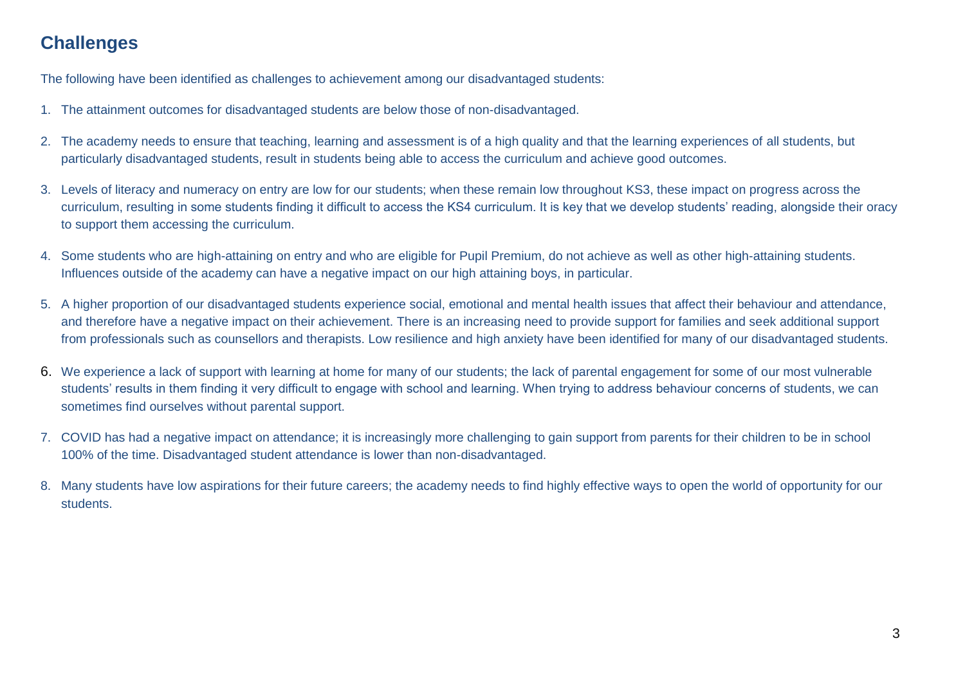## **Challenges**

The following have been identified as challenges to achievement among our disadvantaged students:

- 1. The attainment outcomes for disadvantaged students are below those of non-disadvantaged.
- 2. The academy needs to ensure that teaching, learning and assessment is of a high quality and that the learning experiences of all students, but particularly disadvantaged students, result in students being able to access the curriculum and achieve good outcomes.
- 3. Levels of literacy and numeracy on entry are low for our students; when these remain low throughout KS3, these impact on progress across the curriculum, resulting in some students finding it difficult to access the KS4 curriculum. It is key that we develop students' reading, alongside their oracy to support them accessing the curriculum.
- 4. Some students who are high-attaining on entry and who are eligible for Pupil Premium, do not achieve as well as other high-attaining students. Influences outside of the academy can have a negative impact on our high attaining boys, in particular.
- 5. A higher proportion of our disadvantaged students experience social, emotional and mental health issues that affect their behaviour and attendance, and therefore have a negative impact on their achievement. There is an increasing need to provide support for families and seek additional support from professionals such as counsellors and therapists. Low resilience and high anxiety have been identified for many of our disadvantaged students.
- 6. We experience a lack of support with learning at home for many of our students; the lack of parental engagement for some of our most vulnerable students' results in them finding it very difficult to engage with school and learning. When trying to address behaviour concerns of students, we can sometimes find ourselves without parental support.
- 7. COVID has had a negative impact on attendance; it is increasingly more challenging to gain support from parents for their children to be in school 100% of the time. Disadvantaged student attendance is lower than non-disadvantaged.
- 8. Many students have low aspirations for their future careers; the academy needs to find highly effective ways to open the world of opportunity for our students.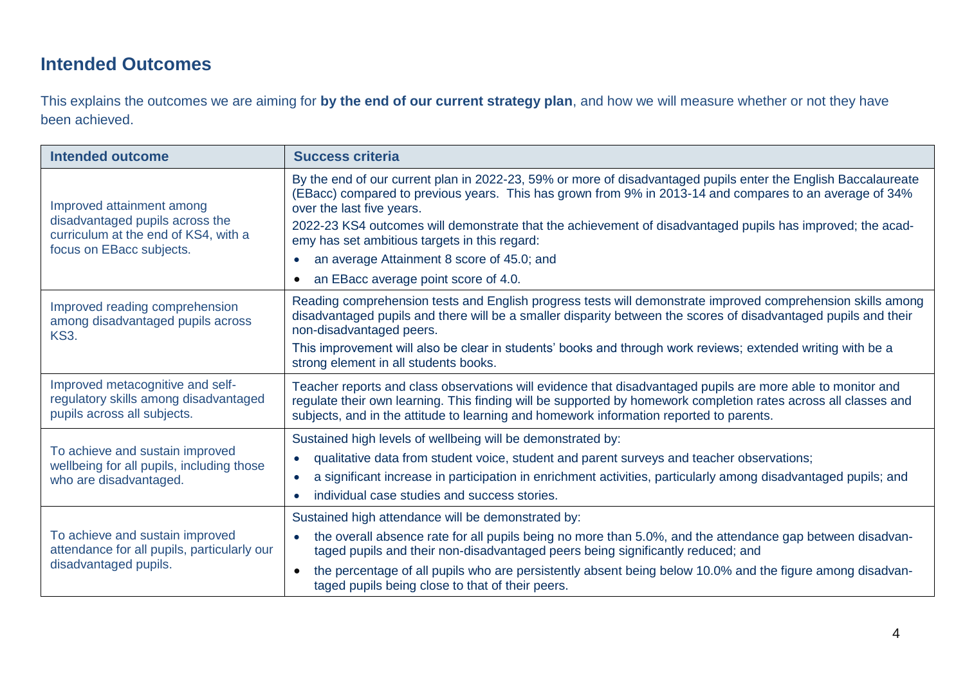## **Intended Outcomes**

This explains the outcomes we are aiming for **by the end of our current strategy plan**, and how we will measure whether or not they have been achieved.

| <b>Intended outcome</b>                                                                                                          | <b>Success criteria</b>                                                                                                                                                                                                                                                                                                                                                                                                                                                                                                  |
|----------------------------------------------------------------------------------------------------------------------------------|--------------------------------------------------------------------------------------------------------------------------------------------------------------------------------------------------------------------------------------------------------------------------------------------------------------------------------------------------------------------------------------------------------------------------------------------------------------------------------------------------------------------------|
| Improved attainment among<br>disadvantaged pupils across the<br>curriculum at the end of KS4, with a<br>focus on EBacc subjects. | By the end of our current plan in 2022-23, 59% or more of disadvantaged pupils enter the English Baccalaureate<br>(EBacc) compared to previous years. This has grown from 9% in 2013-14 and compares to an average of 34%<br>over the last five years.<br>2022-23 KS4 outcomes will demonstrate that the achievement of disadvantaged pupils has improved; the acad-<br>emy has set ambitious targets in this regard:<br>an average Attainment 8 score of 45.0; and<br>an EBacc average point score of 4.0.<br>$\bullet$ |
| Improved reading comprehension<br>among disadvantaged pupils across                                                              | Reading comprehension tests and English progress tests will demonstrate improved comprehension skills among<br>disadvantaged pupils and there will be a smaller disparity between the scores of disadvantaged pupils and their                                                                                                                                                                                                                                                                                           |
| <b>KS3.</b>                                                                                                                      | non-disadvantaged peers.<br>This improvement will also be clear in students' books and through work reviews; extended writing with be a<br>strong element in all students books.                                                                                                                                                                                                                                                                                                                                         |
| Improved metacognitive and self-<br>regulatory skills among disadvantaged<br>pupils across all subjects.                         | Teacher reports and class observations will evidence that disadvantaged pupils are more able to monitor and<br>regulate their own learning. This finding will be supported by homework completion rates across all classes and<br>subjects, and in the attitude to learning and homework information reported to parents.                                                                                                                                                                                                |
| To achieve and sustain improved<br>wellbeing for all pupils, including those<br>who are disadvantaged.                           | Sustained high levels of wellbeing will be demonstrated by:<br>qualitative data from student voice, student and parent surveys and teacher observations;<br>$\bullet$<br>a significant increase in participation in enrichment activities, particularly among disadvantaged pupils; and<br>$\bullet$<br>individual case studies and success stories.<br>$\bullet$                                                                                                                                                        |
| To achieve and sustain improved<br>attendance for all pupils, particularly our<br>disadvantaged pupils.                          | Sustained high attendance will be demonstrated by:<br>the overall absence rate for all pupils being no more than 5.0%, and the attendance gap between disadvan-<br>taged pupils and their non-disadvantaged peers being significantly reduced; and<br>the percentage of all pupils who are persistently absent being below 10.0% and the figure among disadvan-<br>$\bullet$<br>taged pupils being close to that of their peers.                                                                                         |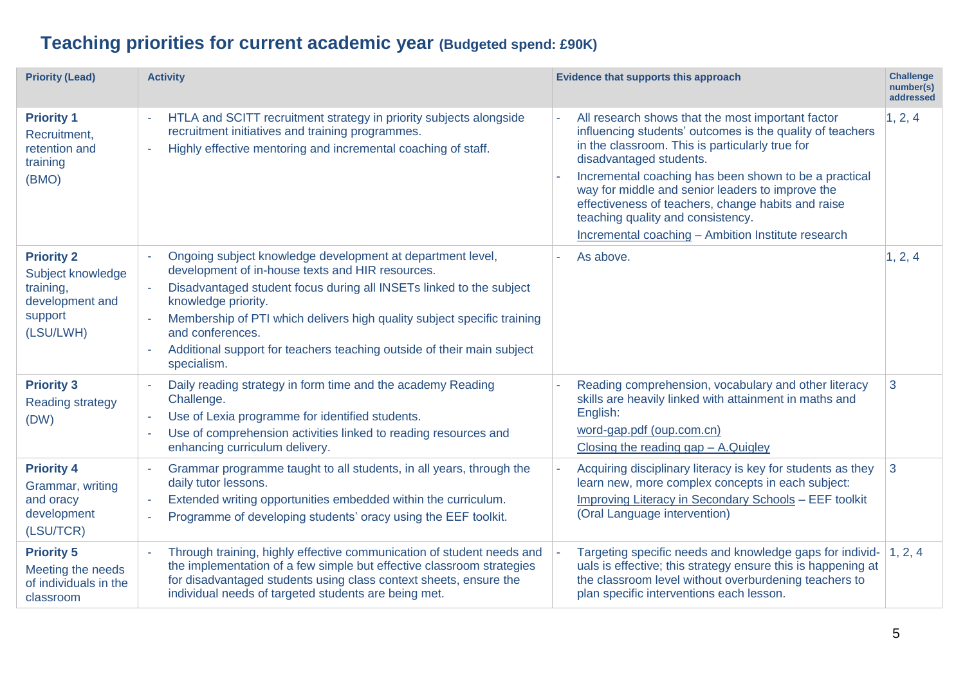# **Teaching priorities for current academic year (Budgeted spend: £90K)**

| <b>Priority (Lead)</b>                                                                         | <b>Activity</b>                                                                                                                                                                                                                                                                                                                                                                                      | Evidence that supports this approach                                                                                                                                                                                                                                                                                                                                                                                                                       | <b>Challenge</b><br>number(s)<br>addressed |
|------------------------------------------------------------------------------------------------|------------------------------------------------------------------------------------------------------------------------------------------------------------------------------------------------------------------------------------------------------------------------------------------------------------------------------------------------------------------------------------------------------|------------------------------------------------------------------------------------------------------------------------------------------------------------------------------------------------------------------------------------------------------------------------------------------------------------------------------------------------------------------------------------------------------------------------------------------------------------|--------------------------------------------|
| <b>Priority 1</b><br>Recruitment,<br>retention and<br>training<br>(BMO)                        | HTLA and SCITT recruitment strategy in priority subjects alongside<br>recruitment initiatives and training programmes.<br>Highly effective mentoring and incremental coaching of staff.<br>$\sim$                                                                                                                                                                                                    | All research shows that the most important factor<br>influencing students' outcomes is the quality of teachers<br>in the classroom. This is particularly true for<br>disadvantaged students.<br>Incremental coaching has been shown to be a practical<br>way for middle and senior leaders to improve the<br>effectiveness of teachers, change habits and raise<br>teaching quality and consistency.<br>Incremental coaching - Ambition Institute research | 1, 2, 4                                    |
| <b>Priority 2</b><br>Subject knowledge<br>training,<br>development and<br>support<br>(LSU/LWH) | Ongoing subject knowledge development at department level,<br>development of in-house texts and HIR resources.<br>Disadvantaged student focus during all INSETs linked to the subject<br>knowledge priority.<br>Membership of PTI which delivers high quality subject specific training<br>and conferences.<br>Additional support for teachers teaching outside of their main subject<br>specialism. | As above.                                                                                                                                                                                                                                                                                                                                                                                                                                                  | 1, 2, 4                                    |
| <b>Priority 3</b><br><b>Reading strategy</b><br>(DW)                                           | Daily reading strategy in form time and the academy Reading<br>Challenge.<br>Use of Lexia programme for identified students.<br>$\sim$<br>Use of comprehension activities linked to reading resources and<br>$\sim$<br>enhancing curriculum delivery.                                                                                                                                                | Reading comprehension, vocabulary and other literacy<br>skills are heavily linked with attainment in maths and<br>English:<br>word-gap.pdf (oup.com.cn)<br>Closing the reading $gap - A$ . Quigley                                                                                                                                                                                                                                                         | 3                                          |
| <b>Priority 4</b><br>Grammar, writing<br>and oracy<br>development<br>(LSU/TCR)                 | Grammar programme taught to all students, in all years, through the<br>$\sim$<br>daily tutor lessons.<br>Extended writing opportunities embedded within the curriculum.<br>$\sim$<br>Programme of developing students' oracy using the EEF toolkit.<br>$\sim$                                                                                                                                        | Acquiring disciplinary literacy is key for students as they<br>learn new, more complex concepts in each subject:<br>Improving Literacy in Secondary Schools - EEF toolkit<br>(Oral Language intervention)                                                                                                                                                                                                                                                  | 3                                          |
| <b>Priority 5</b><br>Meeting the needs<br>of individuals in the<br>classroom                   | Through training, highly effective communication of student needs and<br>$\sim$<br>the implementation of a few simple but effective classroom strategies<br>for disadvantaged students using class context sheets, ensure the<br>individual needs of targeted students are being met.                                                                                                                | Targeting specific needs and knowledge gaps for individ-<br>uals is effective; this strategy ensure this is happening at<br>the classroom level without overburdening teachers to<br>plan specific interventions each lesson.                                                                                                                                                                                                                              | 1, 2, 4                                    |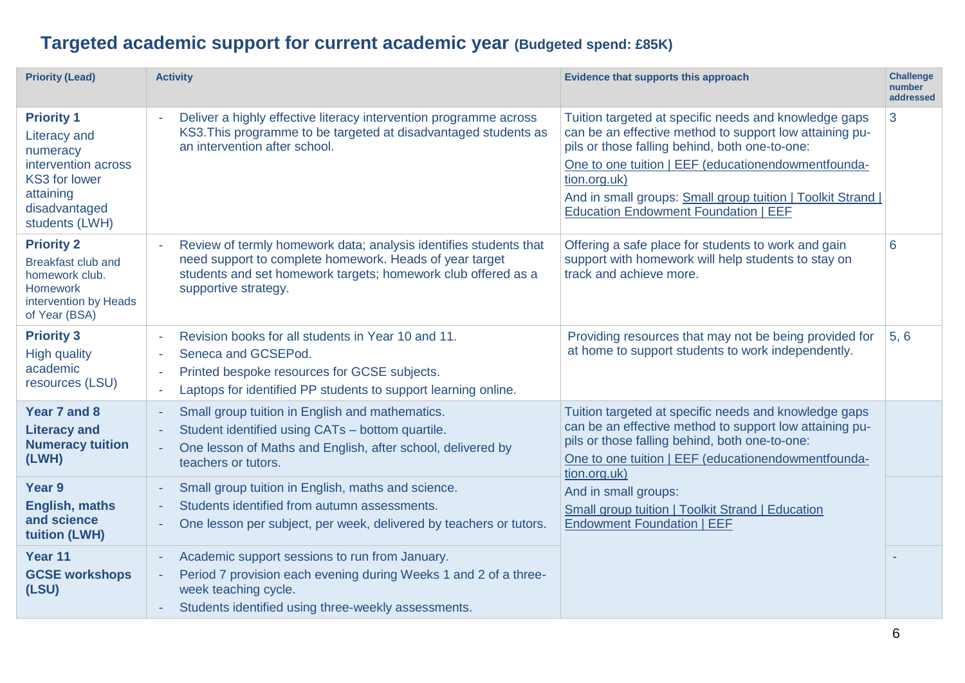# **Targeted academic support for current academic year (Budgeted spend: £85K)**

| <b>Priority (Lead)</b>                                                                                                                              | <b>Activity</b>                                                                                                                                                                                                       | <b>Evidence that supports this approach</b>                                                                                                                                                                                                                                                                                                             | <b>Challenge</b><br>number<br>addressed |
|-----------------------------------------------------------------------------------------------------------------------------------------------------|-----------------------------------------------------------------------------------------------------------------------------------------------------------------------------------------------------------------------|---------------------------------------------------------------------------------------------------------------------------------------------------------------------------------------------------------------------------------------------------------------------------------------------------------------------------------------------------------|-----------------------------------------|
| <b>Priority 1</b><br><b>Literacy and</b><br>numeracy<br>intervention across<br><b>KS3 for lower</b><br>attaining<br>disadvantaged<br>students (LWH) | Deliver a highly effective literacy intervention programme across<br>KS3. This programme to be targeted at disadvantaged students as<br>an intervention after school.                                                 | Tuition targeted at specific needs and knowledge gaps<br>can be an effective method to support low attaining pu-<br>pils or those falling behind, both one-to-one:<br>One to one tuition   EEF (educationendowmentfounda-<br>tion.org.uk)<br>And in small groups: Small group tuition   Toolkit Strand  <br><b>Education Endowment Foundation   EEF</b> | 3                                       |
| <b>Priority 2</b><br><b>Breakfast club and</b><br>homework club.<br><b>Homework</b><br>intervention by Heads<br>of Year (BSA)                       | Review of termly homework data; analysis identifies students that<br>need support to complete homework. Heads of year target<br>students and set homework targets; homework club offered as a<br>supportive strategy. | Offering a safe place for students to work and gain<br>support with homework will help students to stay on<br>track and achieve more.                                                                                                                                                                                                                   | 6                                       |
| <b>Priority 3</b><br><b>High quality</b><br>academic<br>resources (LSU)                                                                             | Revision books for all students in Year 10 and 11.<br>$\sim$<br>Seneca and GCSEPod.<br>Printed bespoke resources for GCSE subjects.<br>Laptops for identified PP students to support learning online.<br>$\sim$       | Providing resources that may not be being provided for<br>at home to support students to work independently.                                                                                                                                                                                                                                            | 5, 6                                    |
| Year 7 and 8<br><b>Literacy and</b><br><b>Numeracy tuition</b><br>(LWH)                                                                             | Small group tuition in English and mathematics.<br>$\blacksquare$<br>Student identified using CATs - bottom quartile.<br>One lesson of Maths and English, after school, delivered by<br>teachers or tutors.           | Tuition targeted at specific needs and knowledge gaps<br>can be an effective method to support low attaining pu-<br>pils or those falling behind, both one-to-one:<br>One to one tuition   EEF (educationendowmentfounda-<br>tion.org.uk)                                                                                                               |                                         |
| Year <sub>9</sub><br><b>English, maths</b><br>and science<br>tuition (LWH)                                                                          | Small group tuition in English, maths and science.<br>Students identified from autumn assessments.<br>One lesson per subject, per week, delivered by teachers or tutors.                                              | And in small groups:<br>Small group tuition   Toolkit Strand   Education<br><b>Endowment Foundation   EEF</b>                                                                                                                                                                                                                                           |                                         |
| Year 11<br><b>GCSE workshops</b><br>(LSU)                                                                                                           | Academic support sessions to run from January.<br>Period 7 provision each evening during Weeks 1 and 2 of a three-<br>week teaching cycle.<br>Students identified using three-weekly assessments.                     |                                                                                                                                                                                                                                                                                                                                                         |                                         |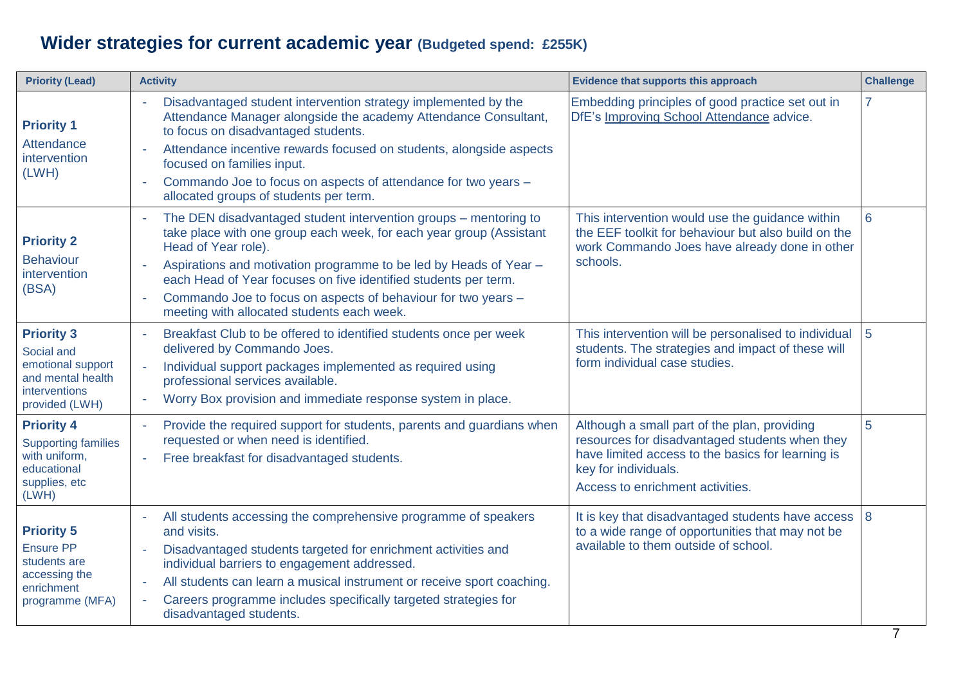# **Wider strategies for current academic year (Budgeted spend: £255K)**

| <b>Priority (Lead)</b>                                                                                       | <b>Activity</b>                                                                                                                                                                                                                                                                                                                                                                                                                                     | Evidence that supports this approach                                                                                                                                                                            | <b>Challenge</b> |
|--------------------------------------------------------------------------------------------------------------|-----------------------------------------------------------------------------------------------------------------------------------------------------------------------------------------------------------------------------------------------------------------------------------------------------------------------------------------------------------------------------------------------------------------------------------------------------|-----------------------------------------------------------------------------------------------------------------------------------------------------------------------------------------------------------------|------------------|
| <b>Priority 1</b><br>Attendance<br>intervention<br>(LWH)                                                     | Disadvantaged student intervention strategy implemented by the<br>$\sim$<br>Attendance Manager alongside the academy Attendance Consultant,<br>to focus on disadvantaged students.<br>Attendance incentive rewards focused on students, alongside aspects<br>focused on families input.<br>Commando Joe to focus on aspects of attendance for two years -<br>allocated groups of students per term.                                                 | Embedding principles of good practice set out in<br>DfE's Improving School Attendance advice.                                                                                                                   | 7                |
| <b>Priority 2</b><br><b>Behaviour</b><br>intervention<br>(BSA)                                               | The DEN disadvantaged student intervention groups - mentoring to<br>$\sim$<br>take place with one group each week, for each year group (Assistant<br>Head of Year role).<br>Aspirations and motivation programme to be led by Heads of Year -<br>$\sim$<br>each Head of Year focuses on five identified students per term.<br>Commando Joe to focus on aspects of behaviour for two years -<br>$\sim$<br>meeting with allocated students each week. | This intervention would use the guidance within<br>the EEF toolkit for behaviour but also build on the<br>work Commando Joes have already done in other<br>schools.                                             | 6                |
| <b>Priority 3</b><br>Social and<br>emotional support<br>and mental health<br>interventions<br>provided (LWH) | Breakfast Club to be offered to identified students once per week<br>$\sim$<br>delivered by Commando Joes.<br>Individual support packages implemented as required using<br>÷,<br>professional services available.<br>Worry Box provision and immediate response system in place.<br>÷,                                                                                                                                                              | This intervention will be personalised to individual<br>students. The strategies and impact of these will<br>form individual case studies.                                                                      | 5                |
| <b>Priority 4</b><br><b>Supporting families</b><br>with uniform,<br>educational<br>supplies, etc<br>(LWH)    | Provide the required support for students, parents and guardians when<br>÷,<br>requested or when need is identified.<br>Free breakfast for disadvantaged students.<br>$\overline{\phantom{a}}$                                                                                                                                                                                                                                                      | Although a small part of the plan, providing<br>resources for disadvantaged students when they<br>have limited access to the basics for learning is<br>key for individuals.<br>Access to enrichment activities. | 5                |
| <b>Priority 5</b><br><b>Ensure PP</b><br>students are<br>accessing the<br>enrichment<br>programme (MFA)      | All students accessing the comprehensive programme of speakers<br>$\overline{\phantom{a}}$<br>and visits.<br>Disadvantaged students targeted for enrichment activities and<br>individual barriers to engagement addressed.<br>All students can learn a musical instrument or receive sport coaching.<br>$\sim$<br>Careers programme includes specifically targeted strategies for<br>disadvantaged students.                                        | It is key that disadvantaged students have access<br>to a wide range of opportunities that may not be<br>available to them outside of school.                                                                   | 8                |